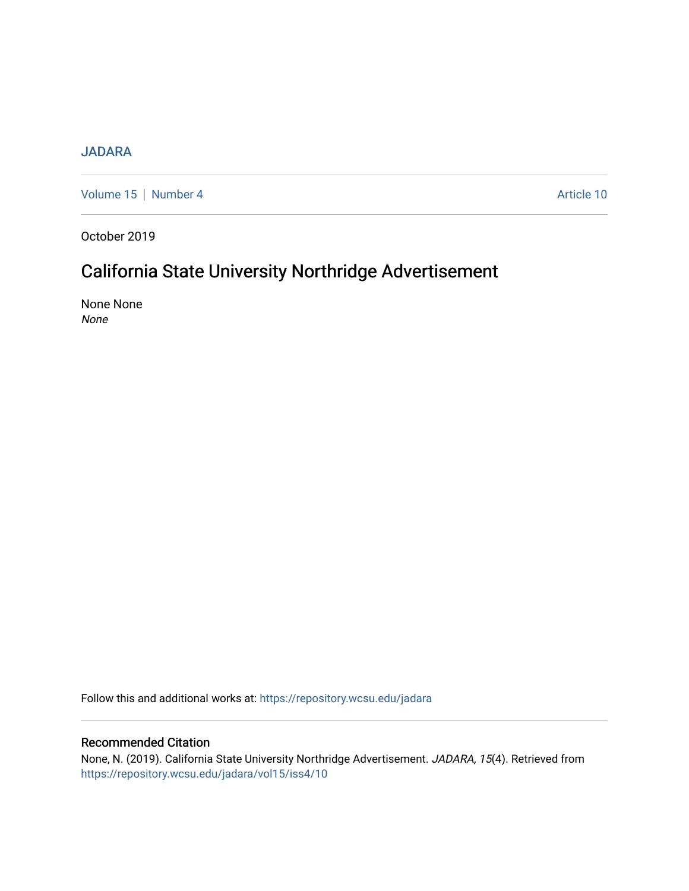### [JADARA](https://repository.wcsu.edu/jadara)

[Volume 15](https://repository.wcsu.edu/jadara/vol15) | [Number 4](https://repository.wcsu.edu/jadara/vol15/iss4) Article 10

October 2019

## California State University Northridge Advertisement

None None None

Follow this and additional works at: [https://repository.wcsu.edu/jadara](https://repository.wcsu.edu/jadara?utm_source=repository.wcsu.edu%2Fjadara%2Fvol15%2Fiss4%2F10&utm_medium=PDF&utm_campaign=PDFCoverPages)

#### Recommended Citation

None, N. (2019). California State University Northridge Advertisement. JADARA, 15(4). Retrieved from [https://repository.wcsu.edu/jadara/vol15/iss4/10](https://repository.wcsu.edu/jadara/vol15/iss4/10?utm_source=repository.wcsu.edu%2Fjadara%2Fvol15%2Fiss4%2F10&utm_medium=PDF&utm_campaign=PDFCoverPages)